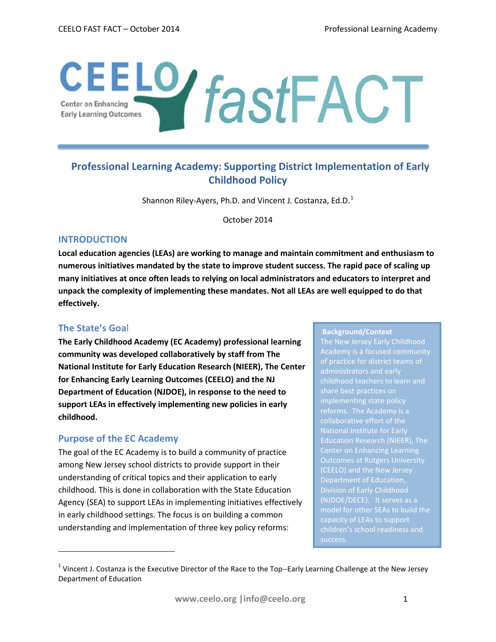# CEELO **fastFACT**

# **Professional Learning Academy: Supporting District Implementation of Early Childhood Policy**

Shannon Riley-Ayers, Ph.D. and Vincent J. Costanza, Ed.D.<sup>[1](#page-0-0)</sup>

October 2014

### **INTRODUCTION**

**Local education agencies (LEAs) are working to manage and maintain commitment and enthusiasm to numerous initiatives mandated by the state to improve student success. The rapid pace of scaling up many initiatives at once often leads to relying on local administrators and educators to interpret and unpack the complexity of implementing these mandates. Not all LEAs are well equipped to do that effectively.** 

# **The State's Goa**l

l

**The Early Childhood Academy (EC Academy) professional learning community was developed collaboratively by staff from The National Institute for Early Education Research (NIEER), The Center for Enhancing Early Learning Outcomes (CEELO) and the NJ Department of Education (NJDOE), in response to the need to support LEAs in effectively implementing new policies in early childhood.** 

# **Purpose of the EC Academy**

The goal of the EC Academy is to build a community of practice among New Jersey school districts to provide support in their understanding of critical topics and their application to early childhood. This is done in collaboration with the State Education Agency (SEA) to support LEAs in implementing initiatives effectively in early childhood settings. The focus is on building a common understanding and implementation of three key policy reforms:

#### **Background/Context**

of practice for district teams of administrators and early share best practices on Center on Enhancing Learning Outcomes at Rutgers University (NJDOE/DECE). It serves as a capacity of LEAs to support

<span id="page-0-0"></span><sup>&</sup>lt;sup>1</sup> Vincent J. Costanza is the Executive Director of the Race to the Top--Early Learning Challenge at the New Jersey Department of Education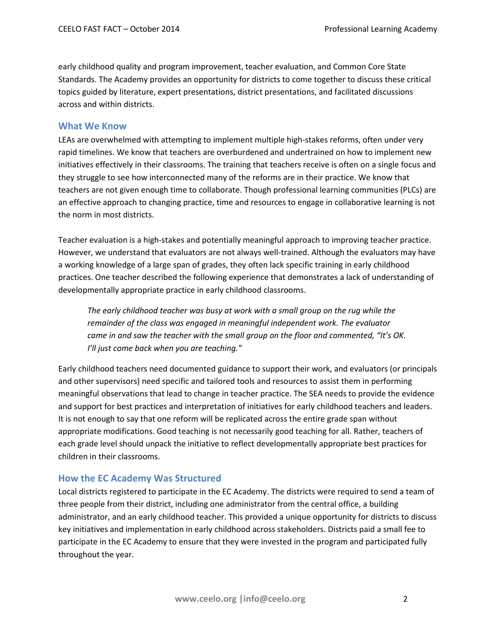early childhood quality and program improvement, teacher evaluation, and Common Core State Standards. The Academy provides an opportunity for districts to come together to discuss these critical topics guided by literature, expert presentations, district presentations, and facilitated discussions across and within districts.

#### **What We Know**

LEAs are overwhelmed with attempting to implement multiple high-stakes reforms, often under very rapid timelines. We know that teachers are overburdened and undertrained on how to implement new initiatives effectively in their classrooms. The training that teachers receive is often on a single focus and they struggle to see how interconnected many of the reforms are in their practice. We know that teachers are not given enough time to collaborate. Though professional learning communities (PLCs) are an effective approach to changing practice, time and resources to engage in collaborative learning is not the norm in most districts.

Teacher evaluation is a high-stakes and potentially meaningful approach to improving teacher practice. However, we understand that evaluators are not always well-trained. Although the evaluators may have a working knowledge of a large span of grades, they often [lack specific training](http://preschoolmatters.org/2014/08/07/evaluating-the-teacher-evaluators/) in early childhood practices. One teacher described the following experience that demonstrates a lack of understanding of developmentally appropriate practice in early childhood classrooms.

*The early childhood teacher was busy at work with a small group on the rug while the remainder of the class was engaged in meaningful independent work. The evaluator came in and saw the teacher with the small group on the floor and commented, "It's OK. I'll just come back when you are teaching."*

Early childhood teachers need documented guidance to support their work, and evaluators (or principals and other supervisors) need specific and tailored tools and resources to assist them in performing meaningful observations that lead to change in teacher practice. The SEA needs to provide the evidence and support for best practices and interpretation of initiatives for early childhood teachers and leaders. It is not enough to say that one reform will be replicated across the entire grade span without appropriate modifications. Good teaching is not necessarily good teaching for all. Rather, teachers of each grade level should unpack the initiative to reflect developmentally appropriate best practices for children in their classrooms.

#### **How the EC Academy Was Structured**

Local districts registered to participate in the EC Academy. The districts were required to send a team of three people from their district, including one administrator from the central office, a building administrator, and an early childhood teacher. This provided a unique opportunity for districts to discuss key initiatives and implementation in early childhood across stakeholders. Districts paid a small fee to participate in the EC Academy to ensure that they were invested in the program and participated fully throughout the year.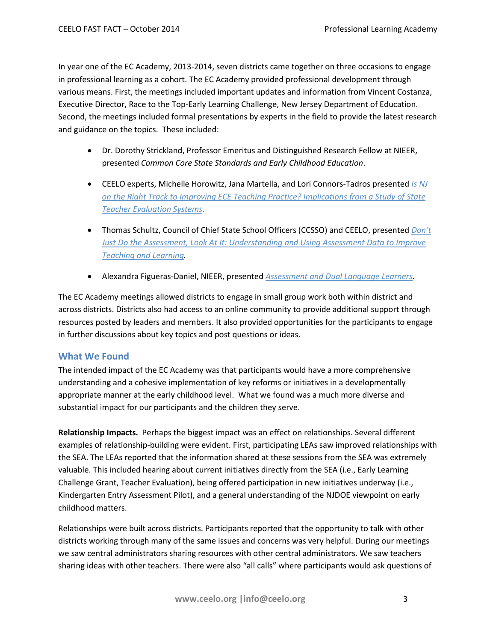In year one of the EC Academy, 2013-2014, seven districts came together on three occasions to engage in professional learning as a cohort. The EC Academy provided professional development through various means. First, the meetings included important updates and information from Vincent Costanza, Executive Director, Race to the Top-Early Learning Challenge, New Jersey Department of Education. Second, the meetings included formal presentations by experts in the field to provide the latest research and guidance on the topics. These included:

- Dr. Dorothy Strickland, Professor Emeritus and Distinguished Research Fellow at NIEER, presented *Common Core State Standards and Early Childhood Education*.
- CEELO experts, Michelle Horowitz, Jana Martella, and Lori Connors-Tadros presented *[Is NJ](http://ceelo.org/wp-content/uploads/2014/10/ceelo_nj_academy_2014_nj_ece_teaching_practice.pdf)  [on the Right Track to Improving ECE Teaching](http://ceelo.org/wp-content/uploads/2014/10/ceelo_nj_academy_2014_nj_ece_teaching_practice.pdf) Practice? Implications from a Study of State [Teacher Evaluation Systems.](http://ceelo.org/wp-content/uploads/2014/10/ceelo_nj_academy_2014_nj_ece_teaching_practice.pdf)*
- Thomas Schultz, Council of Chief State School Officers (CCSSO) and CEELO, presented *[Don't](http://ceelo.org/wp-content/uploads/2014/06/nj_ece_academy_2014_5_15.pdf)  [Just Do the Assessment, Look At It: Understanding and Using Assessment Data to Improve](http://ceelo.org/wp-content/uploads/2014/06/nj_ece_academy_2014_5_15.pdf)  [Teaching and Learning.](http://ceelo.org/wp-content/uploads/2014/06/nj_ece_academy_2014_5_15.pdf)*
- Alexandra Figueras-Daniel, NIEER, presented *[Assessment and Dual Language Learners.](http://ceelo.org/wp-content/uploads/2014/10/ceelo_nj_academy_considerations_assessing_dlls.pdf)*

The EC Academy meetings allowed districts to engage in small group work both within district and across districts. Districts also had access to an online community to provide additional support through resources posted by leaders and members. It also provided opportunities for the participants to engage in further discussions about key topics and post questions or ideas.

#### **What We Found**

The intended impact of the EC Academy was that participants would have a more comprehensive understanding and a cohesive implementation of key reforms or initiatives in a developmentally appropriate manner at the early childhood level. What we found was a much more diverse and substantial impact for our participants and the children they serve.

**Relationship Impacts.** Perhaps the biggest impact was an effect on relationships. Several different examples of relationship-building were evident. First, participating LEAs saw improved relationships with the SEA. The LEAs reported that the information shared at these sessions from the SEA was extremely valuable. This included hearing about current initiatives directly from the SEA (i.e., Early Learning Challenge Grant, Teacher Evaluation), being offered participation in new initiatives underway (i.e., Kindergarten Entry Assessment Pilot), and a general understanding of the NJDOE viewpoint on early childhood matters.

Relationships were built across districts. Participants reported that the opportunity to talk with other districts working through many of the same issues and concerns was very helpful. During our meetings we saw central administrators sharing resources with other central administrators. We saw teachers sharing ideas with other teachers. There were also "all calls" where participants would ask questions of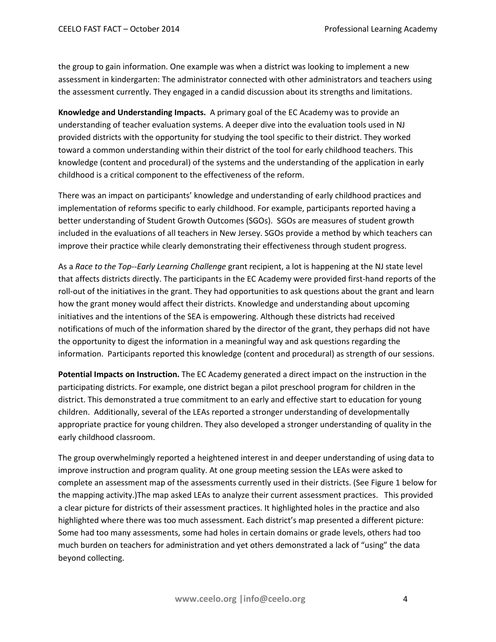the group to gain information. One example was when a district was looking to implement a new assessment in kindergarten: The administrator connected with other administrators and teachers using the assessment currently. They engaged in a candid discussion about its strengths and limitations.

**Knowledge and Understanding Impacts.** A primary goal of the EC Academy was to provide an understanding of teacher evaluation systems. A deeper dive into the evaluation tools used in NJ provided districts with the opportunity for studying the tool specific to their district. They worked toward a common understanding within their district of the tool for early childhood teachers. This knowledge (content and procedural) of the systems and the understanding of the application in early childhood is a critical component to the effectiveness of the reform.

There was an impact on participants' knowledge and understanding of early childhood practices and implementation of reforms specific to early childhood. For example, participants reported having a better understanding of Student Growth Outcomes (SGOs). SGOs are measures of student growth included in the evaluations of all teachers in New Jersey. SGOs provide a method by which teachers can improve their practice while clearly demonstrating their effectiveness through student progress.

As a *Race to the Top--Early Learning Challenge* grant recipient, a lot is happening at the NJ state level that affects districts directly. The participants in the EC Academy were provided first-hand reports of the roll-out of the initiatives in the grant. They had opportunities to ask questions about the grant and learn how the grant money would affect their districts. Knowledge and understanding about upcoming initiatives and the intentions of the SEA is empowering. Although these districts had received notifications of much of the information shared by the director of the grant, they perhaps did not have the opportunity to digest the information in a meaningful way and ask questions regarding the information. Participants reported this knowledge (content and procedural) as strength of our sessions.

**Potential Impacts on Instruction.** The EC Academy generated a direct impact on the instruction in the participating districts. For example, one district began a pilot preschool program for children in the district. This demonstrated a true commitment to an early and effective start to education for young children. Additionally, several of the LEAs reported a stronger understanding of developmentally appropriate practice for young children. They also developed a stronger understanding of quality in the early childhood classroom.

The group overwhelmingly reported a heightened interest in and deeper understanding of using data to improve instruction and program quality. At one group meeting session the LEAs were asked to complete an assessment map of the assessments currently used in their districts. (See Figure 1 below for the mapping activity.)The map asked LEAs to analyze their current assessment practices. This provided a clear picture for districts of their assessment practices. It highlighted holes in the practice and also highlighted where there was too much assessment. Each district's map presented a different picture: Some had too many assessments, some had holes in certain domains or grade levels, others had too much burden on teachers for administration and yet others demonstrated a lack of "using" the data beyond collecting.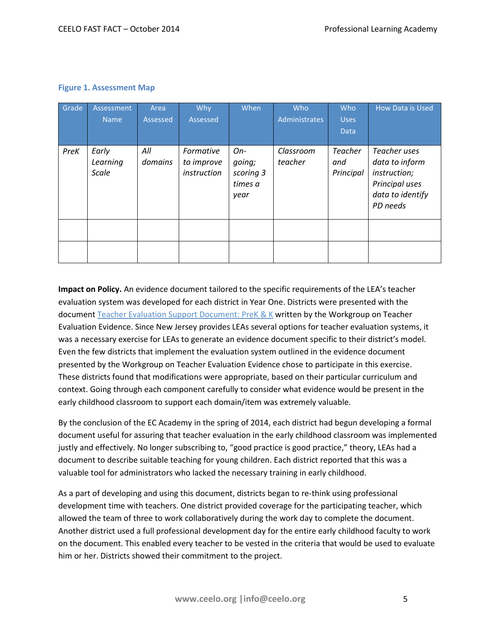|  | <b>Figure 1. Assessment Map</b> |  |
|--|---------------------------------|--|
|--|---------------------------------|--|

| Grade | Assessment<br><b>Name</b>         | Area<br>Assessed | Why<br>Assessed                        | When                                            | Who<br>Administrates | Who<br><b>Uses</b><br>Data         | How Data is Used                                                                                 |
|-------|-----------------------------------|------------------|----------------------------------------|-------------------------------------------------|----------------------|------------------------------------|--------------------------------------------------------------------------------------------------|
| PreK  | Early<br>Learning<br><b>Scale</b> | All<br>domains   | Formative<br>to improve<br>instruction | $On-$<br>going;<br>scoring 3<br>times a<br>year | Classroom<br>teacher | <b>Teacher</b><br>and<br>Principal | Teacher uses<br>data to inform<br>instruction;<br>Principal uses<br>data to identify<br>PD needs |
|       |                                   |                  |                                        |                                                 |                      |                                    |                                                                                                  |
|       |                                   |                  |                                        |                                                 |                      |                                    |                                                                                                  |

**Impact on Policy.** An evidence document tailored to the specific requirements of the LEA's teacher evaluation system was developed for each district in Year One. Districts were presented with the document [Teacher Evaluation Support Document: PreK & K](http://www.nj.gov/education/ece/eval/Evidence.pdf) written by the Workgroup on Teacher Evaluation Evidence. Since New Jersey provides LEAs several options for teacher evaluation systems, it was a necessary exercise for LEAs to generate an evidence document specific to their district's model. Even the few districts that implement the evaluation system outlined in the evidence document presented by the Workgroup on Teacher Evaluation Evidence chose to participate in this exercise. These districts found that modifications were appropriate, based on their particular curriculum and context. Going through each component carefully to consider what evidence would be present in the early childhood classroom to support each domain/item was extremely valuable.

By the conclusion of the EC Academy in the spring of 2014, each district had begun developing a formal document useful for assuring that teacher evaluation in the early childhood classroom was implemented justly and effectively. No longer subscribing to, "good practice is good practice," theory, LEAs had a document to describe suitable teaching for young children. Each district reported that this was a valuable tool for administrators who lacked the necessary training in early childhood.

As a part of developing and using this document, districts began to re-think using professional development time with teachers. One district provided coverage for the participating teacher, which allowed the team of three to work collaboratively during the work day to complete the document. Another district used a full professional development day for the entire early childhood faculty to work on the document. This enabled every teacher to be vested in the criteria that would be used to evaluate him or her. Districts showed their commitment to the project.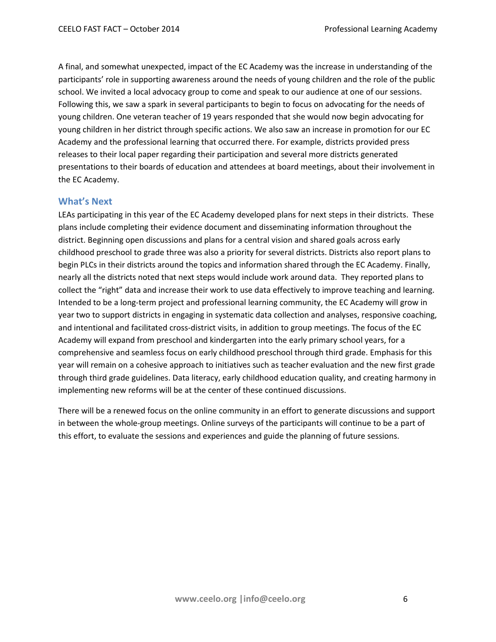A final, and somewhat unexpected, impact of the EC Academy was the increase in understanding of the participants' role in supporting awareness around the needs of young children and the role of the public school. We invited a local advocacy group to come and speak to our audience at one of our sessions. Following this, we saw a spark in several participants to begin to focus on advocating for the needs of young children. One veteran teacher of 19 years responded that she would now begin advocating for young children in her district through specific actions. We also saw an increase in promotion for our EC Academy and the professional learning that occurred there. For example, districts provided press releases to their local paper regarding their participation and several more districts generated presentations to their boards of education and attendees at board meetings, about their involvement in the EC Academy.

#### **What's Next**

LEAs participating in this year of the EC Academy developed plans for next steps in their districts. These plans include completing their evidence document and disseminating information throughout the district. Beginning open discussions and plans for a central vision and shared goals across early childhood preschool to grade three was also a priority for several districts. Districts also report plans to begin PLCs in their districts around the topics and information shared through the EC Academy. Finally, nearly all the districts noted that next steps would include work around data. They reported plans to collect the "right" data and increase their work to use data effectively to improve teaching and learning. Intended to be a long-term project and professional learning community, the EC Academy will grow in year two to support districts in engaging in systematic data collection and analyses, responsive coaching, and intentional and facilitated cross-district visits, in addition to group meetings. The focus of the EC Academy will expand from preschool and kindergarten into the early primary school years, for a comprehensive and seamless focus on early childhood preschool through third grade. Emphasis for this year will remain on a cohesive approach to initiatives such as teacher evaluation and the new first grade through third grade guidelines. Data literacy, early childhood education quality, and creating harmony in implementing new reforms will be at the center of these continued discussions.

There will be a renewed focus on the online community in an effort to generate discussions and support in between the whole-group meetings. Online surveys of the participants will continue to be a part of this effort, to evaluate the sessions and experiences and guide the planning of future sessions.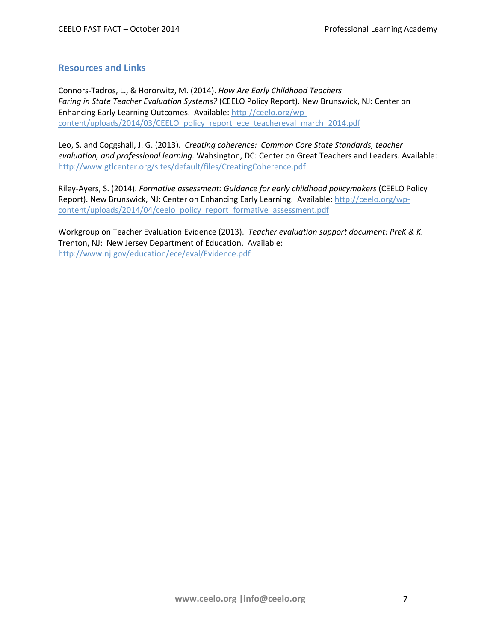#### **Resources and Links**

Connors-Tadros, L., & Hororwitz, M. (2014). *How Are Early Childhood Teachers Faring in State Teacher Evaluation Systems?* (CEELO Policy Report). New Brunswick, NJ: Center on Enhancing Early Learning Outcomes. Available[: http://ceelo.org/wp](http://ceelo.org/wp-content/uploads/2014/03/CEELO_policy_report_ece_teachereval_march_2014.pdf)[content/uploads/2014/03/CEELO\\_policy\\_report\\_ece\\_teachereval\\_march\\_2014.pdf](http://ceelo.org/wp-content/uploads/2014/03/CEELO_policy_report_ece_teachereval_march_2014.pdf)

Leo, S. and Coggshall, J. G. (2013). *Creating coherence: Common Core State Standards, teacher evaluation, and professional learning.* Wahsington, DC: Center on Great Teachers and Leaders. Available: <http://www.gtlcenter.org/sites/default/files/CreatingCoherence.pdf>

Riley-Ayers, S. (2014). *Formative assessment: Guidance for early childhood policymakers* (CEELO Policy Report). New Brunswick, NJ: Center on Enhancing Early Learning. Available: [http://ceelo.org/wp](http://ceelo.org/wp-content/uploads/2014/04/ceelo_policy_report_formative_assessment.pdf)[content/uploads/2014/04/ceelo\\_policy\\_report\\_formative\\_assessment.pdf](http://ceelo.org/wp-content/uploads/2014/04/ceelo_policy_report_formative_assessment.pdf)

Workgroup on Teacher Evaluation Evidence (2013). *Teacher evaluation support document: PreK & K.* Trenton, NJ: New Jersey Department of Education. Available: <http://www.nj.gov/education/ece/eval/Evidence.pdf>